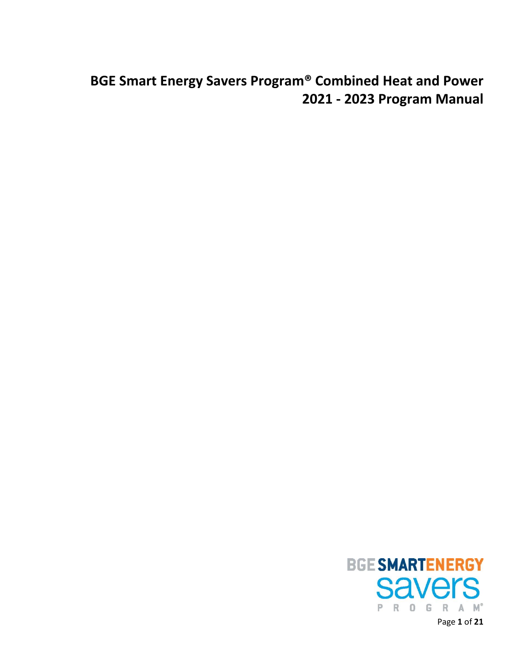# **BGE Smart Energy Savers Program® Combined Heat and Power 2021 - 2023 Program Manual**



Page **1** of **21**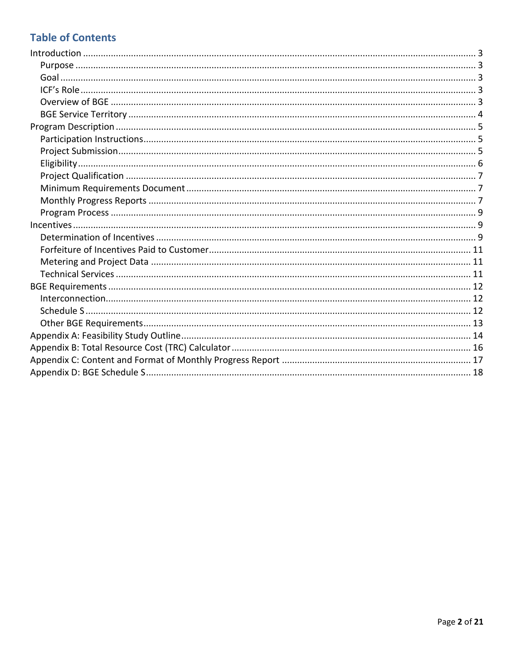# **Table of Contents**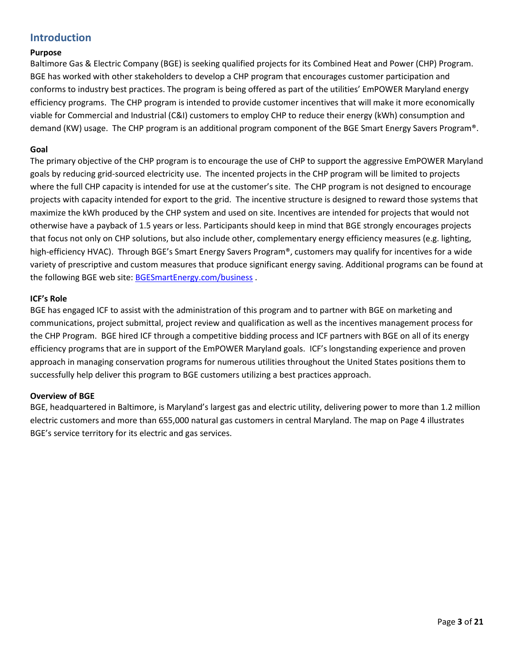## <span id="page-2-0"></span>**Introduction**

## <span id="page-2-1"></span>**Purpose**

Baltimore Gas & Electric Company (BGE) is seeking qualified projects for its Combined Heat and Power (CHP) Program. BGE has worked with other stakeholders to develop a CHP program that encourages customer participation and conforms to industry best practices. The program is being offered as part of the utilities' EmPOWER Maryland energy efficiency programs. The CHP program is intended to provide customer incentives that will make it more economically viable for Commercial and Industrial (C&I) customers to employ CHP to reduce their energy (kWh) consumption and demand (KW) usage. The CHP program is an additional program component of the BGE Smart Energy Savers Program®.

## <span id="page-2-2"></span>**Goal**

The primary objective of the CHP program is to encourage the use of CHP to support the aggressive EmPOWER Maryland goals by reducing grid-sourced electricity use. The incented projects in the CHP program will be limited to projects where the full CHP capacity is intended for use at the customer's site. The CHP program is not designed to encourage projects with capacity intended for export to the grid. The incentive structure is designed to reward those systems that maximize the kWh produced by the CHP system and used on site. Incentives are intended for projects that would not otherwise have a payback of 1.5 years or less. Participants should keep in mind that BGE strongly encourages projects that focus not only on CHP solutions, but also include other, complementary energy efficiency measures (e.g. lighting, high-efficiency HVAC). Through BGE's Smart Energy Savers Program®, customers may qualify for incentives for a wide variety of prescriptive and custom measures that produce significant energy saving. Additional programs can be found at the following BGE web site: [BGESmartEnergy.com/business](http://www.bgesmartenergy.com/business) .

## <span id="page-2-3"></span>**ICF's Role**

BGE has engaged ICF to assist with the administration of this program and to partner with BGE on marketing and communications, project submittal, project review and qualification as well as the incentives management process for the CHP Program. BGE hired ICF through a competitive bidding process and ICF partners with BGE on all of its energy efficiency programs that are in support of the EmPOWER Maryland goals. ICF's longstanding experience and proven approach in managing conservation programs for numerous utilities throughout the United States positions them to successfully help deliver this program to BGE customers utilizing a best practices approach.

## <span id="page-2-4"></span>**Overview of BGE**

BGE, headquartered in Baltimore, is Maryland's largest gas and electric utility, delivering power to more than 1.2 million electric customers and more than 655,000 natural gas customers in central Maryland. The map on Page 4 illustrates BGE's service territory for its electric and gas services.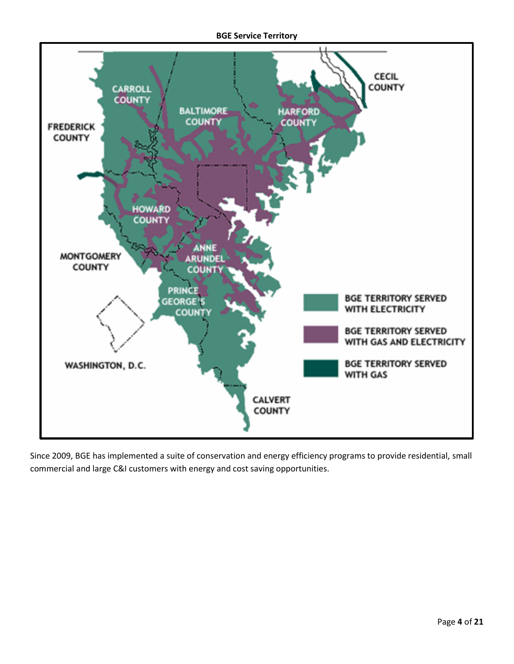#### **BGE Service Territory**

<span id="page-3-0"></span>

Since 2009, BGE has implemented a suite of conservation and energy efficiency programs to provide residential, small commercial and large C&I customers with energy and cost saving opportunities.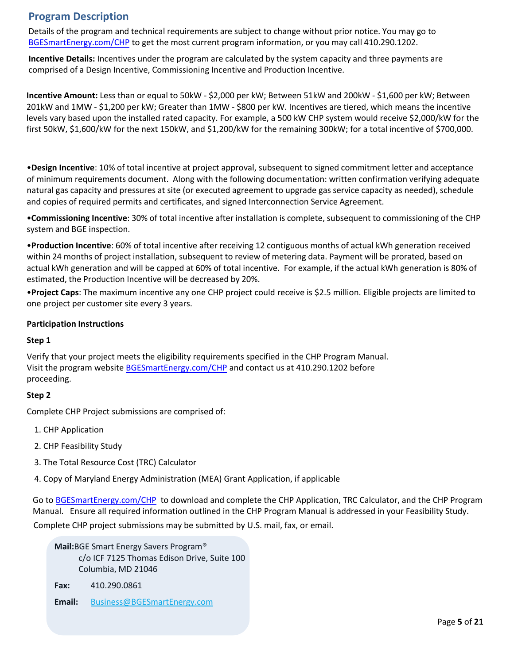## **Program Description**

<span id="page-4-0"></span>Details of the program and technical requirements are subject to change without prior notice. You may go to BGESmartEnergy.com/CHP to get the most current program information, or you may call 410.290.1202.

**Incentive Details:** Incentives under the program are calculated by the system capacity and three payments are [comprised of a Design](file:///C:/Users/29478/Desktop/BGESmartEnergy.com/business/chp) Incentive, Commissioning Incentive and Production Incentive.

**Incentive Amount:** Less than or equal to 50kW - \$2,000 per kW; Between 51kW and 200kW - \$1,600 per kW; Between 201kW and 1MW - \$1,200 per kW; Greater than 1MW - \$800 per kW. Incentives are tiered, which means the incentive levels vary based upon the installed rated capacity. For example, a 500 kW CHP system would receive \$2,000/kW for the first 50kW, \$1,600/kW for the next 150kW, and \$1,200/kW for the remaining 300kW; for a total incentive of \$700,000.

•**Design Incentive**: 10% of total incentive at project approval, subsequent to signed commitment letter and acceptance of minimum requirements document. Along with the following documentation: written confirmation verifying adequate natural gas capacity and pressures at site (or executed agreement to upgrade gas service capacity as needed), schedule and copies of required permits and certificates, and signed Interconnection Service Agreement.

•**Commissioning Incentive**: 30% of total incentive after installation is complete, subsequent to commissioning of the CHP system and BGE inspection.

•**Production Incentive**: 60% of total incentive after receiving 12 contiguous months of actual kWh generation received within 24 months of project installation, subsequent to review of metering data. Payment will be prorated, based on actual kWh generation and will be capped at 60% of total incentive. For example, if the actual kWh generation is 80% of estimated, the Production Incentive will be decreased by 20%.

<span id="page-4-1"></span>•**Project Caps**: The maximum incentive any one CHP project could receive is \$2.5 million. Eligible projects are limited to one project per customer site every 3 years.

## **Participation Instructions**

## **Step 1**

Verify t[hat your project meets the elig](file:///C:/Users/29478/Desktop/BGESmartEnergy.com/business/chp)ibility requirements specified in the CHP Program Manual. Visit the program website BGESmartEnergy.com/CHP and contact us at 410.290.1202 before proceeding.

## **Step 2**

Complete CHP Project submissions are comprised of:

- 1. CHP Application
- 2. CHP Feasibility Study
- 3. The Total Resource Cost (TRC) Calculator
- <span id="page-4-2"></span>4. C[opy of Maryland Energy Admin](file:///C:/Users/29478/Desktop/BGESmartEnergy.com/business/chp)istration (MEA) Grant Application, if applicable

Go to BGESmartEnergy.com/CHP to download and complete the CHP Application, TRC Calculator, and the CHP Program Manual. Ensure all required information outlined in the CHP Program Manual is addressed in your Feasibility Study. Complete CHP project submissions may be submitted by U.S. mail, fax, or email.

**Mail:**BGE Smart Energy Savers Program® c/o ICF 7125 Thomas Edison Drive, Suite 100 Columbia, MD 21046

**Fax:** 410.290.0861

**Email:** [Business@BGESmartEnergy.com](mailto:Business@BGESmartEnergy.com)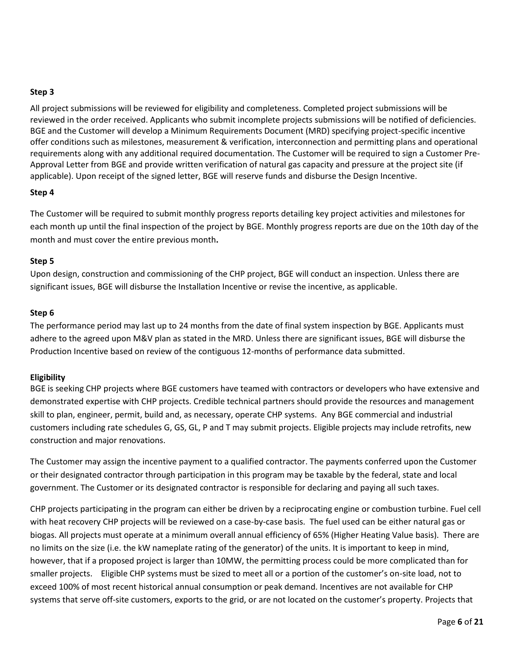## **Step 3**

All project submissions will be reviewed for eligibility and completeness. Completed project submissions will be reviewed in the order received. Applicants who submit incomplete projects submissions will be notified of deficiencies. BGE and the Customer will develop a Minimum Requirements Document (MRD) specifying project-specific incentive offer conditions such as milestones, measurement & verification, interconnection and permitting plans and operational requirements along with any additional required documentation. The Customer will be required to sign a Customer Pre-Approval Letter from BGE and provide written verification of natural gas capacity and pressure at the project site (if applicable). Upon receipt of the signed letter, BGE will reserve funds and disburse the Design Incentive.

## **Step 4**

The Customer will be required to submit monthly progress reports detailing key project activities and milestones for each month up until the final inspection of the project by BGE. Monthly progress reports are due on the 10th day of the month and must cover the entire previous month**.** 

## **Step 5**

Upon design, construction and commissioning of the CHP project, BGE will conduct an inspection. Unless there are significant issues, BGE will disburse the Installation Incentive or revise the incentive, as applicable.

## **Step 6**

The performance period may last up to 24 months from the date of final system inspection by BGE. Applicants must adhere to the agreed upon M&V plan as stated in the MRD. Unless there are significant issues, BGE will disburse the Production Incentive based on review of the contiguous 12-months of performance data submitted.

## <span id="page-5-0"></span>**Eligibility**

BGE is seeking CHP projects where BGE customers have teamed with contractors or developers who have extensive and demonstrated expertise with CHP projects. Credible technical partners should provide the resources and management skill to plan, engineer, permit, build and, as necessary, operate CHP systems. Any BGE commercial and industrial customers including rate schedules G, GS, GL, P and T may submit projects. Eligible projects may include retrofits, new construction and major renovations.

The Customer may assign the incentive payment to a qualified contractor. The payments conferred upon the Customer or their designated contractor through participation in this program may be taxable by the federal, state and local government. The Customer or its designated contractor is responsible for declaring and paying all such taxes.

CHP projects participating in the program can either be driven by a reciprocating engine or combustion turbine. Fuel cell with heat recovery CHP projects will be reviewed on a case-by-case basis. The fuel used can be either natural gas or biogas. All projects must operate at a minimum overall annual efficiency of 65% (Higher Heating Value basis). There are no limits on the size (i.e. the kW nameplate rating of the generator) of the units. It is important to keep in mind, however, that if a proposed project is larger than 10MW, the permitting process could be more complicated than for smaller projects. Eligible CHP systems must be sized to meet all or a portion of the customer's on-site load, not to exceed 100% of most recent historical annual consumption or peak demand. Incentives are not available for CHP systems that serve off-site customers, exports to the grid, or are not located on the customer's property. Projects that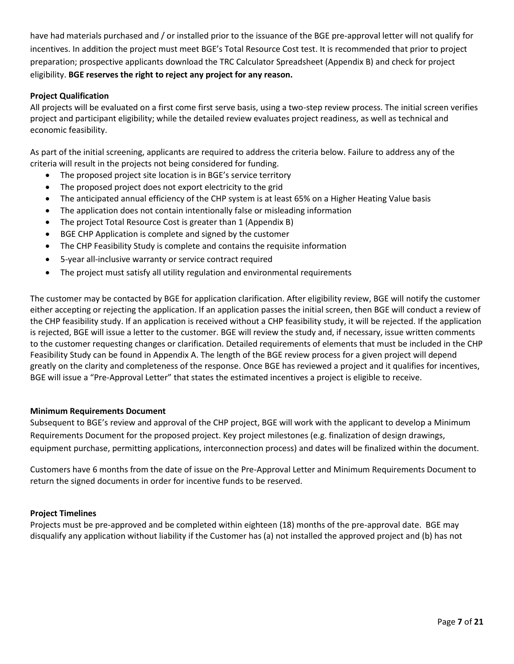have had materials purchased and / or installed prior to the issuance of the BGE pre-approval letter will not qualify for incentives. In addition the project must meet BGE's Total Resource Cost test. It is recommended that prior to project preparation; prospective applicants download the TRC Calculator Spreadsheet (Appendix B) and check for project eligibility. **BGE reserves the right to reject any project for any reason.**

## <span id="page-6-0"></span>**Project Qualification**

All projects will be evaluated on a first come first serve basis, using a two-step review process. The initial screen verifies project and participant eligibility; while the detailed review evaluates project readiness, as well as technical and economic feasibility.

As part of the initial screening, applicants are required to address the criteria below. Failure to address any of the criteria will result in the projects not being considered for funding.

- The proposed project site location is in BGE's service territory
- The proposed project does not export electricity to the grid
- The anticipated annual efficiency of the CHP system is at least 65% on a Higher Heating Value basis
- The application does not contain intentionally false or misleading information
- The project Total Resource Cost is greater than 1 (Appendix B)
- BGE CHP Application is complete and signed by the customer
- The CHP Feasibility Study is complete and contains the requisite information
- 5-year all-inclusive warranty or service contract required
- The project must satisfy all utility regulation and environmental requirements

The customer may be contacted by BGE for application clarification. After eligibility review, BGE will notify the customer either accepting or rejecting the application. If an application passes the initial screen, then BGE will conduct a review of the CHP feasibility study. If an application is received without a CHP feasibility study, it will be rejected. If the application is rejected, BGE will issue a letter to the customer. BGE will review the study and, if necessary, issue written comments to the customer requesting changes or clarification. Detailed requirements of elements that must be included in the CHP Feasibility Study can be found in Appendix A. The length of the BGE review process for a given project will depend greatly on the clarity and completeness of the response. Once BGE has reviewed a project and it qualifies for incentives, BGE will issue a "Pre-Approval Letter" that states the estimated incentives a project is eligible to receive.

## <span id="page-6-1"></span>**Minimum Requirements Document**

Subsequent to BGE's review and approval of the CHP project, BGE will work with the applicant to develop a Minimum Requirements Document for the proposed project. Key project milestones (e.g. finalization of design drawings, equipment purchase, permitting applications, interconnection process) and dates will be finalized within the document.

Customers have 6 months from the date of issue on the Pre-Approval Letter and Minimum Requirements Document to return the signed documents in order for incentive funds to be reserved.

## <span id="page-6-2"></span>**Project Timelines**

Projects must be pre-approved and be completed within eighteen (18) months of the pre-approval date. BGE may disqualify any application without liability if the Customer has (a) not installed the approved project and (b) has not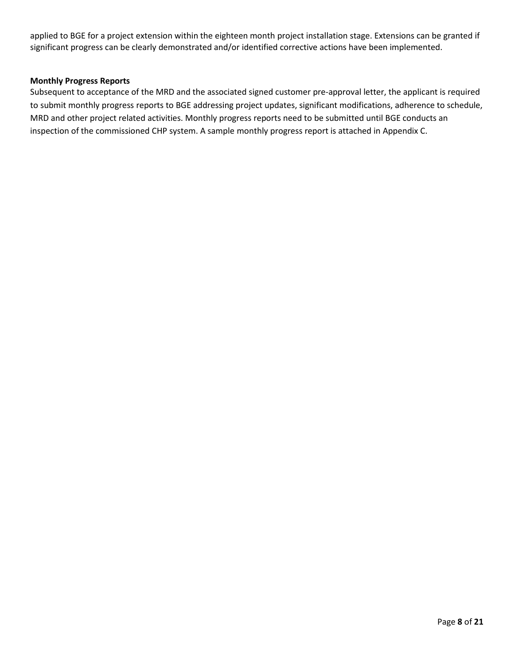applied to BGE for a project extension within the eighteen month project installation stage. Extensions can be granted if significant progress can be clearly demonstrated and/or identified corrective actions have been implemented.

## **Monthly Progress Reports**

Subsequent to acceptance of the MRD and the associated signed customer pre-approval letter, the applicant is required to submit monthly progress reports to BGE addressing project updates, significant modifications, adherence to schedule, MRD and other project related activities. Monthly progress reports need to be submitted until BGE conducts an inspection of the commissioned CHP system. A sample monthly progress report is attached in Appendix C.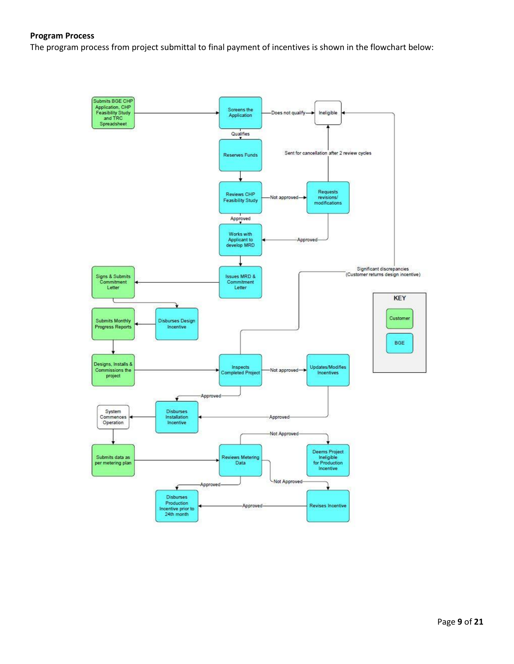#### <span id="page-8-0"></span>**Program Process**

The program process from project submittal to final payment of incentives is shown in the flowchart below:

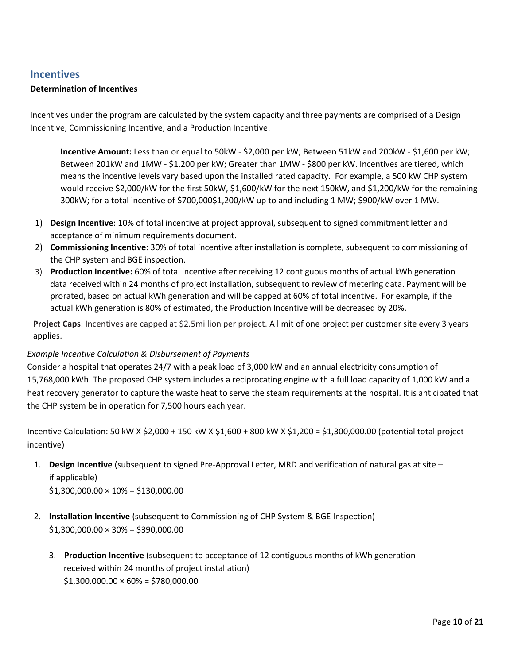## <span id="page-9-0"></span>**Incentives**

## <span id="page-9-1"></span>**Determination of Incentives**

Incentives under the program are calculated by the system capacity and three payments are comprised of a Design Incentive, Commissioning Incentive, and a Production Incentive.

**Incentive Amount:** Less than or equal to 50kW - \$2,000 per kW; Between 51kW and 200kW - \$1,600 per kW; Between 201kW and 1MW - \$1,200 per kW; Greater than 1MW - \$800 per kW. Incentives are tiered, which means the incentive levels vary based upon the installed rated capacity. For example, a 500 kW CHP system would receive \$2,000/kW for the first 50kW, \$1,600/kW for the next 150kW, and \$1,200/kW for the remaining 300kW; for a total incentive of \$700,000\$1,200/kW up to and including 1 MW; \$900/kW over 1 MW.

- 1) **Design Incentive**: 10% of total incentive at project approval, subsequent to signed commitment letter and acceptance of minimum requirements document.
- 2) **Commissioning Incentive**: 30% of total incentive after installation is complete, subsequent to commissioning of the CHP system and BGE inspection.
- 3) **Production Incentive:** 60% of total incentive after receiving 12 contiguous months of actual kWh generation data received within 24 months of project installation, subsequent to review of metering data. Payment will be prorated, based on actual kWh generation and will be capped at 60% of total incentive. For example, if the actual kWh generation is 80% of estimated, the Production Incentive will be decreased by 20%.

**Project Caps**: Incentives are capped at \$2.5million per project. A limit of one project per customer site every 3 years applies.

## *Example Incentive Calculation & Disbursement of Payments*

Consider a hospital that operates 24/7 with a peak load of 3,000 kW and an annual electricity consumption of 15,768,000 kWh. The proposed CHP system includes a reciprocating engine with a full load capacity of 1,000 kW and a heat recovery generator to capture the waste heat to serve the steam requirements at the hospital. It is anticipated that the CHP system be in operation for 7,500 hours each year.

Incentive Calculation: 50 kW X \$2,000 + 150 kW X \$1,600 + 800 kW X \$1,200 = \$1,300,000.00 (potential total project incentive)

1. **Design Incentive** (subsequent to signed Pre-Approval Letter, MRD and verification of natural gas at site – if applicable)

 $$1,300,000.00 \times 10\% = $130,000.00$ 

- 2. **Installation Incentive** (subsequent to Commissioning of CHP System & BGE Inspection)  $$1,300,000.00 \times 30\% = $390,000.00$ 
	- 3. **Production Incentive** (subsequent to acceptance of 12 contiguous months of kWh generation received within 24 months of project installation)  $$1,300.000.00 \times 60\% = $780,000.00$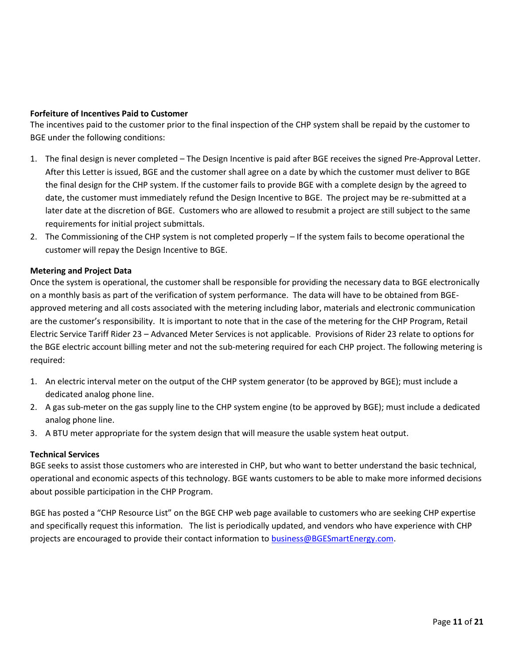## <span id="page-10-0"></span>**Forfeiture of Incentives Paid to Customer**

The incentives paid to the customer prior to the final inspection of the CHP system shall be repaid by the customer to BGE under the following conditions:

- 1. The final design is never completed The Design Incentive is paid after BGE receives the signed Pre-Approval Letter. After this Letter is issued, BGE and the customer shall agree on a date by which the customer must deliver to BGE the final design for the CHP system. If the customer fails to provide BGE with a complete design by the agreed to date, the customer must immediately refund the Design Incentive to BGE. The project may be re-submitted at a later date at the discretion of BGE. Customers who are allowed to resubmit a project are still subject to the same requirements for initial project submittals.
- 2. The Commissioning of the CHP system is not completed properly If the system fails to become operational the customer will repay the Design Incentive to BGE.

## <span id="page-10-1"></span>**Metering and Project Data**

Once the system is operational, the customer shall be responsible for providing the necessary data to BGE electronically on a monthly basis as part of the verification of system performance. The data will have to be obtained from BGEapproved metering and all costs associated with the metering including labor, materials and electronic communication are the customer's responsibility. It is important to note that in the case of the metering for the CHP Program, Retail Electric Service Tariff Rider 23 – Advanced Meter Services is not applicable. Provisions of Rider 23 relate to options for the BGE electric account billing meter and not the sub-metering required for each CHP project. The following metering is required:

- 1. An electric interval meter on the output of the CHP system generator (to be approved by BGE); must include a dedicated analog phone line.
- 2. A gas sub-meter on the gas supply line to the CHP system engine (to be approved by BGE); must include a dedicated analog phone line.
- 3. A BTU meter appropriate for the system design that will measure the usable system heat output.

## <span id="page-10-2"></span>**Technical Services**

BGE seeks to assist those customers who are interested in CHP, but who want to better understand the basic technical, operational and economic aspects of this technology. BGE wants customers to be able to make more informed decisions about possible participation in the CHP Program.

BGE has posted a "CHP Resource List" on the BGE CHP web page available to customers who are seeking CHP expertise and specifically request this information. The list is periodically updated, and vendors who have experience with CHP projects are encouraged to provide their contact information to **business@BGESmartEnergy.com**.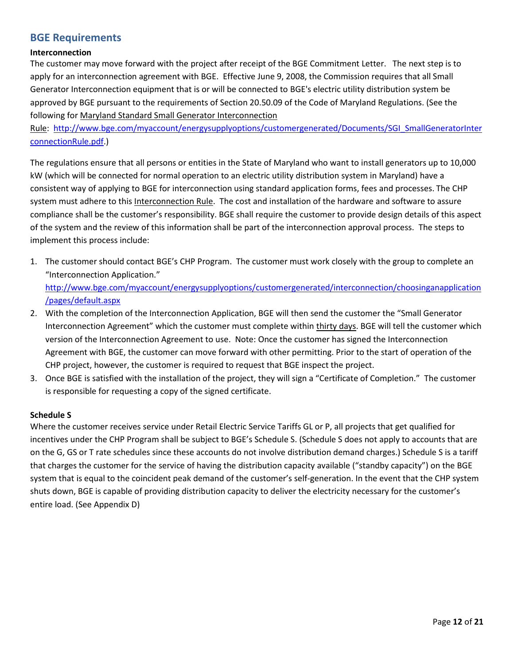## <span id="page-11-0"></span>**BGE Requirements**

## <span id="page-11-1"></span>**Interconnection**

The customer may move forward with the project after receipt of the BGE Commitment Letter. The next step is to apply for an interconnection agreement with BGE. Effective June 9, 2008, the Commission requires that all Small Generator Interconnection equipment that is or will be connected to BGE's electric utility distribution system be approved by BGE pursuant to the requirements of Section 20.50.09 of the Code of Maryland Regulations. (See the following for [Maryland Standard Small Generator Interconnection](http://www.bge.com/myaccount/energysupplyoptions/customergenerated/Documents/SGI_SmallGeneratorInterconnectionRule.pdf) 

[Rule: http://www.bge.com/myaccount/energysupplyoptions/customergenerated/Documents/SGI\\_SmallGeneratorInter](http://www.bge.com/myaccount/energysupplyoptions/customergenerated/Documents/SGI_SmallGeneratorInterconnectionRule.pdf) [connectionRule.pdf.](http://www.bge.com/myaccount/energysupplyoptions/customergenerated/Documents/SGI_SmallGeneratorInterconnectionRule.pdf))

The regulations ensure that all persons or entities in the State of Maryland who want to install generators up to 10,000 kW (which will be connected for normal operation to an electric utility distribution system in Maryland) have a consistent way of applying to BGE for interconnection using standard application forms, fees and processes. The CHP system must adhere to this Interconnection Rule. The cost and installation of the hardware and software to assure compliance shall be the customer's responsibility. BGE shall require the customer to provide design details of this aspect of the system and the review of this information shall be part of the interconnection approval process. The steps to implement this process include:

- 1. The customer should contact BGE's CHP Program. The customer must work closely with the group to complete an "Interconnection Application." [http://www.bge.com/myaccount/energysupplyoptions/customergenerated/interconnection/choosinganapplication](http://www.bge.com/myaccount/energysupplyoptions/customergenerated/interconnection/choosinganapplication/pages/default.aspx) [/pages/default.aspx](http://www.bge.com/myaccount/energysupplyoptions/customergenerated/interconnection/choosinganapplication/pages/default.aspx)
- 2. With the completion of the Interconnection Application, BGE will then send the customer the "Small Generator Interconnection Agreement" which the customer must complete within thirty days. BGE will tell the customer which version of the Interconnection Agreement to use. Note: Once the customer has signed the Interconnection Agreement with BGE, the customer can move forward with other permitting. Prior to the start of operation of the CHP project, however, the customer is required to request that BGE inspect the project.
- 3. Once BGE is satisfied with the installation of the project, they will sign a "Certificate of Completion." The customer is responsible for requesting a copy of the signed certificate.

## <span id="page-11-2"></span>**Schedule S**

Where the customer receives service under Retail Electric Service Tariffs GL or P, all projects that get qualified for incentives under the CHP Program shall be subject to BGE's Schedule S. (Schedule S does not apply to accounts that are on the G, GS or T rate schedules since these accounts do not involve distribution demand charges.) Schedule S is a tariff that charges the customer for the service of having the distribution capacity available ("standby capacity") on the BGE system that is equal to the coincident peak demand of the customer's self-generation. In the event that the CHP system shuts down, BGE is capable of providing distribution capacity to deliver the electricity necessary for the customer's entire load. (See Appendix D)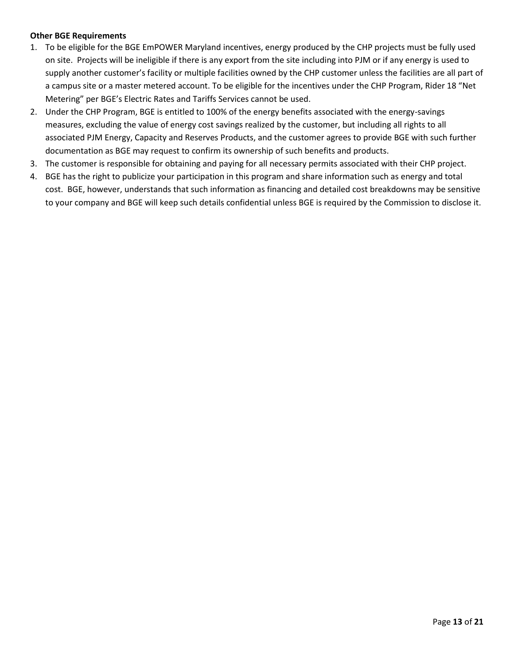## <span id="page-12-0"></span>**Other BGE Requirements**

- 1. To be eligible for the BGE EmPOWER Maryland incentives, energy produced by the CHP projects must be fully used on site. Projects will be ineligible if there is any export from the site including into PJM or if any energy is used to supply another customer's facility or multiple facilities owned by the CHP customer unless the facilities are all part of a campus site or a master metered account. To be eligible for the incentives under the CHP Program, Rider 18 "Net Metering" per BGE's Electric Rates and Tariffs Services cannot be used.
- 2. Under the CHP Program, BGE is entitled to 100% of the energy benefits associated with the energy-savings measures, excluding the value of energy cost savings realized by the customer, but including all rights to all associated PJM Energy, Capacity and Reserves Products, and the customer agrees to provide BGE with such further documentation as BGE may request to confirm its ownership of such benefits and products.
- 3. The customer is responsible for obtaining and paying for all necessary permits associated with their CHP project.
- 4. BGE has the right to publicize your participation in this program and share information such as energy and total cost. BGE, however, understands that such information as financing and detailed cost breakdowns may be sensitive to your company and BGE will keep such details confidential unless BGE is required by the Commission to disclose it.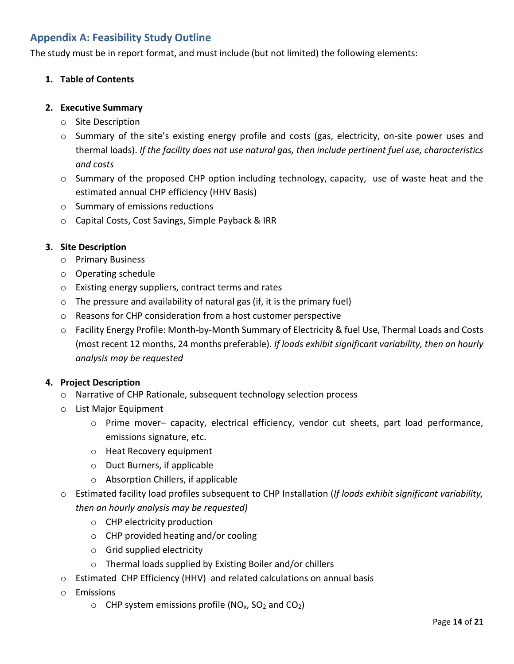## <span id="page-13-0"></span>**Appendix A: Feasibility Study Outline**

The study must be in report format, and must include (but not limited) the following elements:

## **1. Table of Contents**

## **2. Executive Summary**

- o Site Description
- o Summary of the site's existing energy profile and costs (gas, electricity, on-site power uses and thermal loads). *If the facility does not use natural gas, then include pertinent fuel use, characteristics and costs*
- $\circ$  Summary of the proposed CHP option including technology, capacity, use of waste heat and the estimated annual CHP efficiency (HHV Basis)
- o Summary of emissions reductions
- o Capital Costs, Cost Savings, Simple Payback & IRR

## **3. Site Description**

- o Primary Business
- o Operating schedule
- o Existing energy suppliers, contract terms and rates
- $\circ$  The pressure and availability of natural gas (if, it is the primary fuel)
- o Reasons for CHP consideration from a host customer perspective
- o Facility Energy Profile: Month-by-Month Summary of Electricity & fuel Use, Thermal Loads and Costs (most recent 12 months, 24 months preferable). *If loads exhibit significant variability, then an hourly analysis may be requested*

## **4. Project Description**

- o Narrative of CHP Rationale, subsequent technology selection process
- o List Major Equipment
	- o Prime mover– capacity, electrical efficiency, vendor cut sheets, part load performance, emissions signature, etc.
	- o Heat Recovery equipment
	- o Duct Burners, if applicable
	- o Absorption Chillers, if applicable
- o Estimated facility load profiles subsequent to CHP Installation (*If loads exhibit significant variability, then an hourly analysis may be requested)*
	- o CHP electricity production
	- o CHP provided heating and/or cooling
	- o Grid supplied electricity
	- o Thermal loads supplied by Existing Boiler and/or chillers
- o Estimated CHP Efficiency (HHV) and related calculations on annual basis
- o Emissions
	- $\circ$  CHP system emissions profile (NO<sub>x</sub>, SO<sub>2</sub> and CO<sub>2</sub>)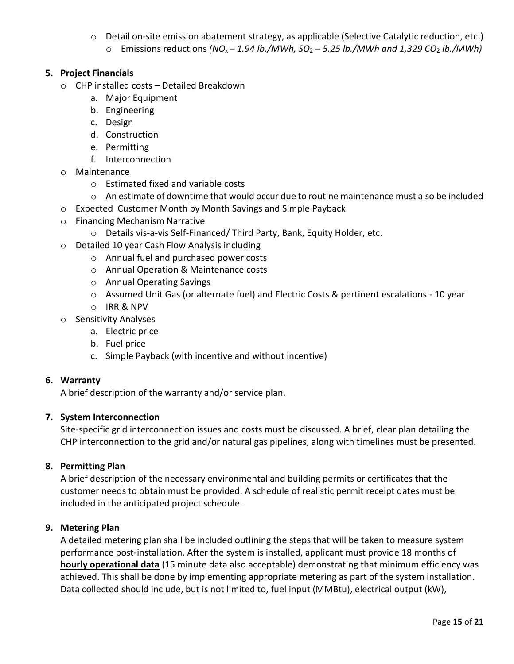- o Detail on-site emission abatement strategy, as applicable (Selective Catalytic reduction, etc.)
	- o Emissions reductions *(NO*x *– 1.94 lb./MWh, SO*<sup>2</sup> *– 5.25 lb./MWh and 1,329 CO*2 *lb./MWh)*

## **5. Project Financials**

- o CHP installed costs Detailed Breakdown
	- a. Major Equipment
	- b. Engineering
	- c. Design
	- d. Construction
	- e. Permitting
	- f. Interconnection
- o Maintenance
	- o Estimated fixed and variable costs
	- $\circ$  An estimate of downtime that would occur due to routine maintenance must also be included
- o Expected Customer Month by Month Savings and Simple Payback
- o Financing Mechanism Narrative
	- o Details vis-a-vis Self-Financed/ Third Party, Bank, Equity Holder, etc.
- o Detailed 10 year Cash Flow Analysis including
	- o Annual fuel and purchased power costs
	- o Annual Operation & Maintenance costs
	- o Annual Operating Savings
	- o Assumed Unit Gas (or alternate fuel) and Electric Costs & pertinent escalations 10 year
	- o IRR & NPV
- o Sensitivity Analyses
	- a. Electric price
	- b. Fuel price
	- c. Simple Payback (with incentive and without incentive)

## **6. Warranty**

A brief description of the warranty and/or service plan.

## **7. System Interconnection**

Site-specific grid interconnection issues and costs must be discussed. A brief, clear plan detailing the CHP interconnection to the grid and/or natural gas pipelines, along with timelines must be presented.

## **8. Permitting Plan**

A brief description of the necessary environmental and building permits or certificates that the customer needs to obtain must be provided. A schedule of realistic permit receipt dates must be included in the anticipated project schedule.

## **9. Metering Plan**

A detailed metering plan shall be included outlining the steps that will be taken to measure system performance post-installation. After the system is installed, applicant must provide 18 months of **hourly operational data** (15 minute data also acceptable) demonstrating that minimum efficiency was achieved. This shall be done by implementing appropriate metering as part of the system installation. Data collected should include, but is not limited to, fuel input (MMBtu), electrical output (kW),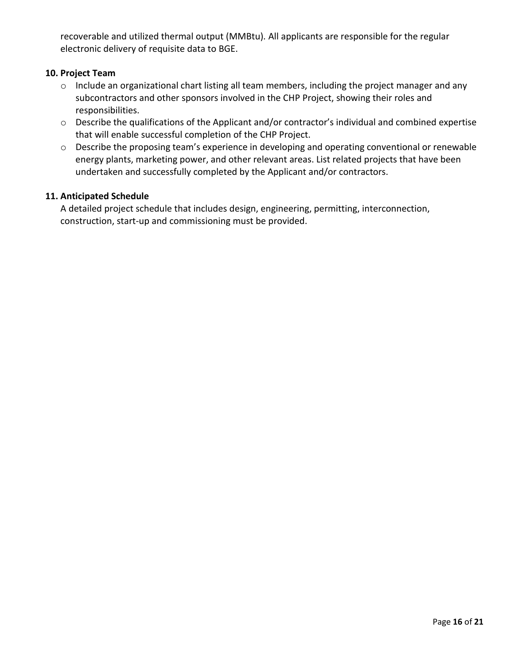recoverable and utilized thermal output (MMBtu). All applicants are responsible for the regular electronic delivery of requisite data to BGE.

## **10. Project Team**

- o Include an organizational chart listing all team members, including the project manager and any subcontractors and other sponsors involved in the CHP Project, showing their roles and responsibilities.
- o Describe the qualifications of the Applicant and/or contractor's individual and combined expertise that will enable successful completion of the CHP Project.
- o Describe the proposing team's experience in developing and operating conventional or renewable energy plants, marketing power, and other relevant areas. List related projects that have been undertaken and successfully completed by the Applicant and/or contractors.

## **11. Anticipated Schedule**

A detailed project schedule that includes design, engineering, permitting, interconnection, construction, start-up and commissioning must be provided.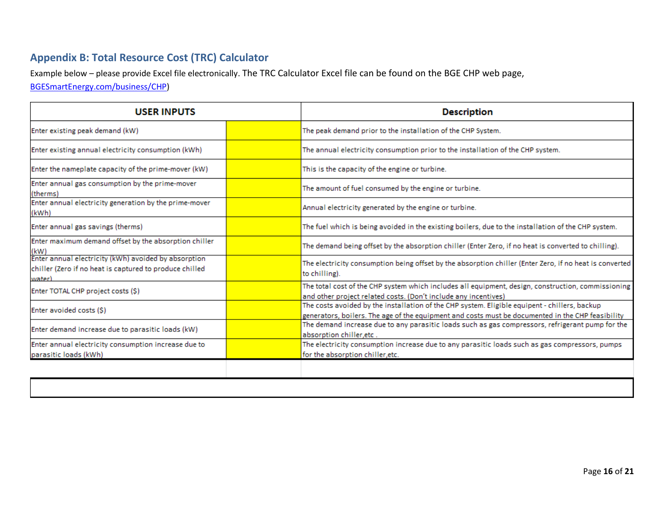## **Appendix B: Total Resource Cost (TRC) Calculator**

Example below – please provide Excel file electronically. The TRC Calculator Excel file can be found on the BGE CHP web page,

[BGESmartEnergy.com/business/CHP\)](http://www.bgesmartenergy.com/business/chp)

<span id="page-16-0"></span>

| <b>USER INPUTS</b>                                                                                                        |  | <b>Description</b>                                                                                                                                                                                 |
|---------------------------------------------------------------------------------------------------------------------------|--|----------------------------------------------------------------------------------------------------------------------------------------------------------------------------------------------------|
| Enter existing peak demand (kW)                                                                                           |  | The peak demand prior to the installation of the CHP System.                                                                                                                                       |
| Enter existing annual electricity consumption (kWh)                                                                       |  | The annual electricity consumption prior to the installation of the CHP system.                                                                                                                    |
| Enter the nameplate capacity of the prime-mover (kW)                                                                      |  | This is the capacity of the engine or turbine.                                                                                                                                                     |
| Enter annual gas consumption by the prime-mover<br>(therms)                                                               |  | The amount of fuel consumed by the engine or turbine.                                                                                                                                              |
| Enter annual electricity generation by the prime-mover<br>(kWh)                                                           |  | Annual electricity generated by the engine or turbine.                                                                                                                                             |
| Enter annual gas savings (therms)                                                                                         |  | The fuel which is being avoided in the existing boilers, due to the installation of the CHP system.                                                                                                |
| Enter maximum demand offset by the absorption chiller<br>(kW)                                                             |  | The demand being offset by the absorption chiller (Enter Zero, if no heat is converted to chilling).                                                                                               |
| Enter annual electricity (kWh) avoided by absorption<br>chiller (Zero if no heat is captured to produce chilled<br>water) |  | The electricity consumption being offset by the absorption chiller (Enter Zero, if no heat is converted<br>to chilling).                                                                           |
| Enter TOTAL CHP project costs (\$)                                                                                        |  | The total cost of the CHP system which includes all equipment, design, construction, commissioning<br>and other project related costs. (Don't include any incentives)                              |
| Enter avoided costs (\$)                                                                                                  |  | The costs avoided by the installation of the CHP system. Eligible equipent - chillers, backup<br>generators, boilers. The age of the equipment and costs must be documented in the CHP feasibility |
| Enter demand increase due to parasitic loads (kW)                                                                         |  | The demand increase due to any parasitic loads such as gas compressors, refrigerant pump for the<br>absorption chiller.etc.                                                                        |
| Enter annual electricity consumption increase due to<br>parasitic loads (kWh)                                             |  | The electricity consumption increase due to any parasitic loads such as gas compressors, pumps<br>for the absorption chiller, etc.                                                                 |
|                                                                                                                           |  |                                                                                                                                                                                                    |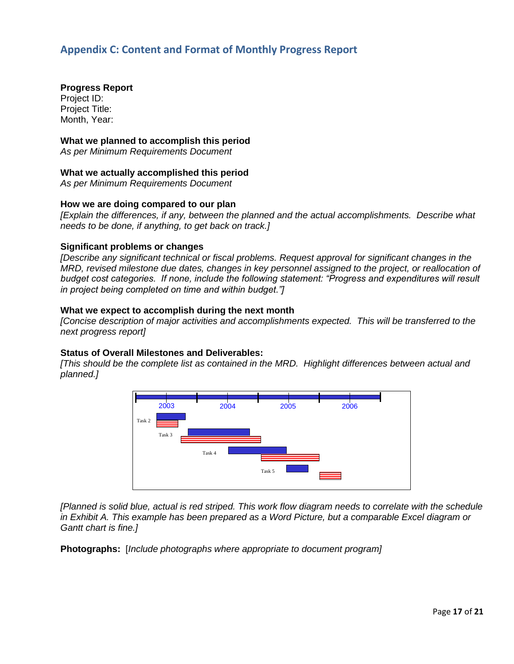## <span id="page-17-0"></span>**Appendix C: Content and Format of Monthly Progress Report**

**Progress Report**  Project ID: Project Title: Month, Year:

#### **What we planned to accomplish this period**

*As per Minimum Requirements Document* 

#### **What we actually accomplished this period**

*As per Minimum Requirements Document* 

## **How we are doing compared to our plan**

*[Explain the differences, if any, between the planned and the actual accomplishments. Describe what needs to be done, if anything, to get back on track.]* 

#### **Significant problems or changes**

*[Describe any significant technical or fiscal problems. Request approval for significant changes in the MRD, revised milestone due dates, changes in key personnel assigned to the project, or reallocation of budget cost categories. If none, include the following statement: "Progress and expenditures will result in project being completed on time and within budget."]*

#### **What we expect to accomplish during the next month**

*[Concise description of major activities and accomplishments expected. This will be transferred to the next progress report]* 

#### **Status of Overall Milestones and Deliverables:**

*[This should be the complete list as contained in the MRD. Highlight differences between actual and planned.]* 



*[Planned is solid blue, actual is red striped. This work flow diagram needs to correlate with the schedule in Exhibit A. This example has been prepared as a Word Picture, but a comparable Excel diagram or Gantt chart is fine.]* 

**Photographs:** [*Include photographs where appropriate to document program]*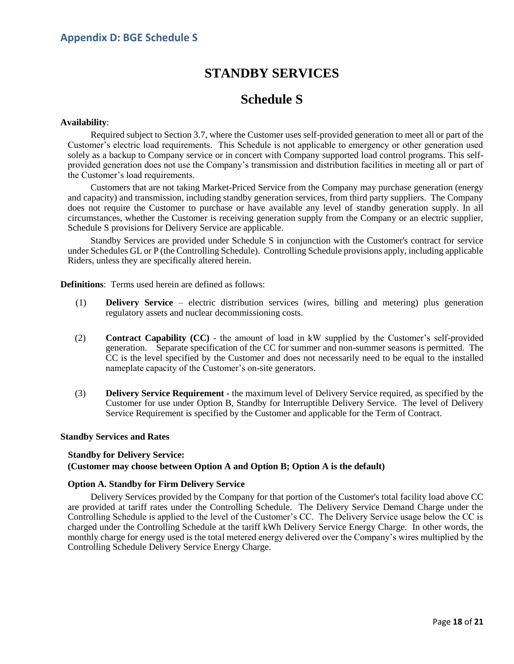## **STANDBY SERVICES**

## **Schedule S**

#### <span id="page-18-0"></span>**Availability**:

Required subject to Section 3.7, where the Customer uses self-provided generation to meet all or part of the Customer's electric load requirements. This Schedule is not applicable to emergency or other generation used solely as a backup to Company service or in concert with Company supported load control programs. This selfprovided generation does not use the Company's transmission and distribution facilities in meeting all or part of the Customer's load requirements.

Customers that are not taking Market-Priced Service from the Company may purchase generation (energy and capacity) and transmission, including standby generation services, from third party suppliers. The Company does not require the Customer to purchase or have available any level of standby generation supply. In all circumstances, whether the Customer is receiving generation supply from the Company or an electric supplier, Schedule S provisions for Delivery Service are applicable.

Standby Services are provided under Schedule S in conjunction with the Customer's contract for service under Schedules GL or P (the Controlling Schedule). Controlling Schedule provisions apply, including applicable Riders, unless they are specifically altered herein.

**Definitions**: Terms used herein are defined as follows:

- (1) **Delivery Service**  electric distribution services (wires, billing and metering) plus generation regulatory assets and nuclear decommissioning costs.
- (2) **Contract Capability (CC)** the amount of load in kW supplied by the Customer's self-provided generation. Separate specification of the CC for summer and non-summer seasons is permitted. The CC is the level specified by the Customer and does not necessarily need to be equal to the installed nameplate capacity of the Customer's on-site generators.
- (3) **Delivery Service Requirement** the maximum level of Delivery Service required, as specified by the Customer for use under Option B, Standby for Interruptible Delivery Service. The level of Delivery Service Requirement is specified by the Customer and applicable for the Term of Contract.

#### **Standby Services and Rates**

#### **Standby for Delivery Service:**

#### **(Customer may choose between Option A and Option B; Option A is the default)**

#### **Option A. Standby for Firm Delivery Service**

Delivery Services provided by the Company for that portion of the Customer's total facility load above CC are provided at tariff rates under the Controlling Schedule. The Delivery Service Demand Charge under the Controlling Schedule is applied to the level of the Customer's CC. The Delivery Service usage below the CC is charged under the Controlling Schedule at the tariff kWh Delivery Service Energy Charge. In other words, the monthly charge for energy used is the total metered energy delivered over the Company's wires multiplied by the Controlling Schedule Delivery Service Energy Charge.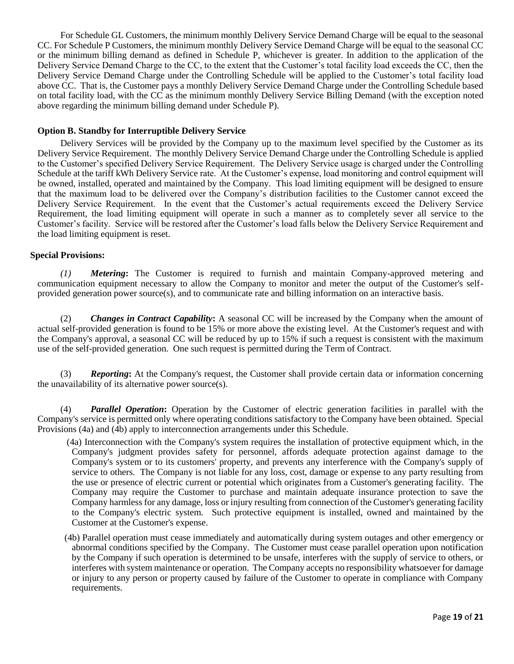For Schedule GL Customers, the minimum monthly Delivery Service Demand Charge will be equal to the seasonal CC. For Schedule P Customers, the minimum monthly Delivery Service Demand Charge will be equal to the seasonal CC or the minimum billing demand as defined in Schedule P, whichever is greater. In addition to the application of the Delivery Service Demand Charge to the CC, to the extent that the Customer's total facility load exceeds the CC, then the Delivery Service Demand Charge under the Controlling Schedule will be applied to the Customer's total facility load above CC. That is, the Customer pays a monthly Delivery Service Demand Charge under the Controlling Schedule based on total facility load, with the CC as the minimum monthly Delivery Service Billing Demand (with the exception noted above regarding the minimum billing demand under Schedule P).

#### **Option B. Standby for Interruptible Delivery Service**

Delivery Services will be provided by the Company up to the maximum level specified by the Customer as its Delivery Service Requirement. The monthly Delivery Service Demand Charge under the Controlling Schedule is applied to the Customer's specified Delivery Service Requirement. The Delivery Service usage is charged under the Controlling Schedule at the tariff kWh Delivery Service rate. At the Customer's expense, load monitoring and control equipment will be owned, installed, operated and maintained by the Company. This load limiting equipment will be designed to ensure that the maximum load to be delivered over the Company's distribution facilities to the Customer cannot exceed the Delivery Service Requirement. In the event that the Customer's actual requirements exceed the Delivery Service Requirement, the load limiting equipment will operate in such a manner as to completely sever all service to the Customer's facility. Service will be restored after the Customer's load falls below the Delivery Service Requirement and the load limiting equipment is reset.

#### **Special Provisions:**

*(1) Metering***:** The Customer is required to furnish and maintain Company-approved metering and communication equipment necessary to allow the Company to monitor and meter the output of the Customer's selfprovided generation power source(s), and to communicate rate and billing information on an interactive basis.

(2) *Changes in Contract Capability***:** A seasonal CC will be increased by the Company when the amount of actual self-provided generation is found to be 15% or more above the existing level. At the Customer's request and with the Company's approval, a seasonal CC will be reduced by up to 15% if such a request is consistent with the maximum use of the self-provided generation. One such request is permitted during the Term of Contract.

(3) *Reporting***:** At the Company's request, the Customer shall provide certain data or information concerning the unavailability of its alternative power source(s).

(4) *Parallel Operation***:** Operation by the Customer of electric generation facilities in parallel with the Company's service is permitted only where operating conditions satisfactory to the Company have been obtained. Special Provisions (4a) and (4b) apply to interconnection arrangements under this Schedule.

- (4a) Interconnection with the Company's system requires the installation of protective equipment which, in the Company's judgment provides safety for personnel, affords adequate protection against damage to the Company's system or to its customers' property, and prevents any interference with the Company's supply of service to others. The Company is not liable for any loss, cost, damage or expense to any party resulting from the use or presence of electric current or potential which originates from a Customer's generating facility. The Company may require the Customer to purchase and maintain adequate insurance protection to save the Company harmless for any damage, loss or injury resulting from connection of the Customer's generating facility to the Company's electric system. Such protective equipment is installed, owned and maintained by the Customer at the Customer's expense.
- (4b) Parallel operation must cease immediately and automatically during system outages and other emergency or abnormal conditions specified by the Company. The Customer must cease parallel operation upon notification by the Company if such operation is determined to be unsafe, interferes with the supply of service to others, or interferes with system maintenance or operation. The Company accepts no responsibility whatsoever for damage or injury to any person or property caused by failure of the Customer to operate in compliance with Company requirements.